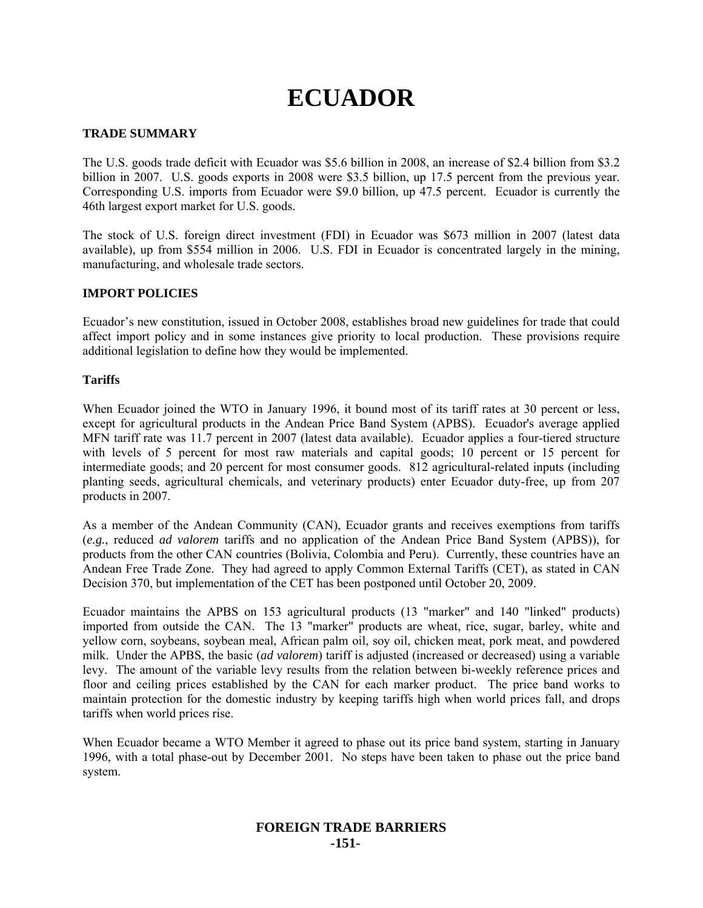# **ECUADOR**

## **TRADE SUMMARY**

The U.S. goods trade deficit with Ecuador was \$5.6 billion in 2008, an increase of \$2.4 billion from \$3.2 billion in 2007. U.S. goods exports in 2008 were \$3.5 billion, up 17.5 percent from the previous year. Corresponding U.S. imports from Ecuador were \$9.0 billion, up 47.5 percent. Ecuador is currently the 46th largest export market for U.S. goods.

The stock of U.S. foreign direct investment (FDI) in Ecuador was \$673 million in 2007 (latest data available), up from \$554 million in 2006. U.S. FDI in Ecuador is concentrated largely in the mining, manufacturing, and wholesale trade sectors.

## **IMPORT POLICIES**

Ecuador's new constitution, issued in October 2008, establishes broad new guidelines for trade that could affect import policy and in some instances give priority to local production. These provisions require additional legislation to define how they would be implemented.

## **Tariffs**

When Ecuador joined the WTO in January 1996, it bound most of its tariff rates at 30 percent or less, except for agricultural products in the Andean Price Band System (APBS). Ecuador's average applied MFN tariff rate was 11.7 percent in 2007 (latest data available). Ecuador applies a four-tiered structure with levels of 5 percent for most raw materials and capital goods; 10 percent or 15 percent for intermediate goods; and 20 percent for most consumer goods. 812 agricultural-related inputs (including planting seeds, agricultural chemicals, and veterinary products) enter Ecuador duty-free, up from 207 products in 2007.

As a member of the Andean Community (CAN), Ecuador grants and receives exemptions from tariffs (*e.g.*, reduced *ad valorem* tariffs and no application of the Andean Price Band System (APBS)), for products from the other CAN countries (Bolivia, Colombia and Peru). Currently, these countries have an Andean Free Trade Zone. They had agreed to apply Common External Tariffs (CET), as stated in CAN Decision 370, but implementation of the CET has been postponed until October 20, 2009.

Ecuador maintains the APBS on 153 agricultural products (13 "marker" and 140 "linked" products) imported from outside the CAN. The 13 "marker" products are wheat, rice, sugar, barley, white and yellow corn, soybeans, soybean meal, African palm oil, soy oil, chicken meat, pork meat, and powdered milk. Under the APBS, the basic (*ad valorem*) tariff is adjusted (increased or decreased) using a variable levy. The amount of the variable levy results from the relation between bi-weekly reference prices and floor and ceiling prices established by the CAN for each marker product. The price band works to maintain protection for the domestic industry by keeping tariffs high when world prices fall, and drops tariffs when world prices rise.

When Ecuador became a WTO Member it agreed to phase out its price band system, starting in January 1996, with a total phase-out by December 2001. No steps have been taken to phase out the price band system.

## **FOREIGN TRADE BARRIERS -151-**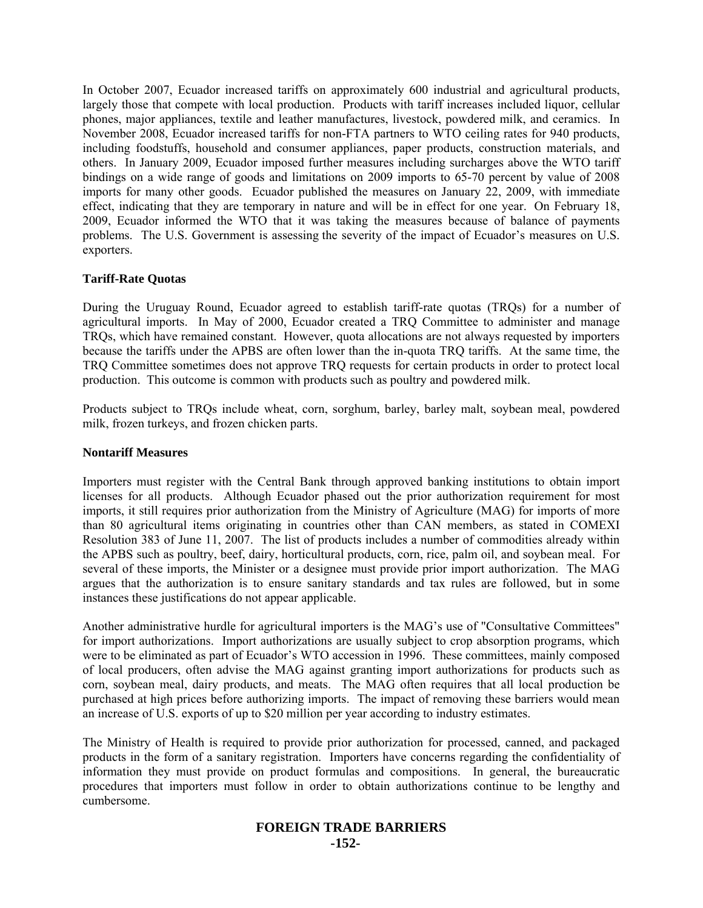In October 2007, Ecuador increased tariffs on approximately 600 industrial and agricultural products, largely those that compete with local production. Products with tariff increases included liquor, cellular phones, major appliances, textile and leather manufactures, livestock, powdered milk, and ceramics. In November 2008, Ecuador increased tariffs for non-FTA partners to WTO ceiling rates for 940 products, including foodstuffs, household and consumer appliances, paper products, construction materials, and others. In January 2009, Ecuador imposed further measures including surcharges above the WTO tariff bindings on a wide range of goods and limitations on 2009 imports to 65-70 percent by value of 2008 imports for many other goods. Ecuador published the measures on January 22, 2009, with immediate effect, indicating that they are temporary in nature and will be in effect for one year. On February 18, 2009, Ecuador informed the WTO that it was taking the measures because of balance of payments problems. The U.S. Government is assessing the severity of the impact of Ecuador's measures on U.S. exporters.

## **Tariff-Rate Quotas**

During the Uruguay Round, Ecuador agreed to establish tariff-rate quotas (TRQs) for a number of agricultural imports. In May of 2000, Ecuador created a TRQ Committee to administer and manage TRQs, which have remained constant. However, quota allocations are not always requested by importers because the tariffs under the APBS are often lower than the in-quota TRQ tariffs. At the same time, the TRQ Committee sometimes does not approve TRQ requests for certain products in order to protect local production. This outcome is common with products such as poultry and powdered milk.

Products subject to TRQs include wheat, corn, sorghum, barley, barley malt, soybean meal, powdered milk, frozen turkeys, and frozen chicken parts.

#### **Nontariff Measures**

Importers must register with the Central Bank through approved banking institutions to obtain import licenses for all products. Although Ecuador phased out the prior authorization requirement for most imports, it still requires prior authorization from the Ministry of Agriculture (MAG) for imports of more than 80 agricultural items originating in countries other than CAN members, as stated in COMEXI Resolution 383 of June 11, 2007. The list of products includes a number of commodities already within the APBS such as poultry, beef, dairy, horticultural products, corn, rice, palm oil, and soybean meal. For several of these imports, the Minister or a designee must provide prior import authorization. The MAG argues that the authorization is to ensure sanitary standards and tax rules are followed, but in some instances these justifications do not appear applicable.

Another administrative hurdle for agricultural importers is the MAG's use of "Consultative Committees" for import authorizations. Import authorizations are usually subject to crop absorption programs, which were to be eliminated as part of Ecuador's WTO accession in 1996. These committees, mainly composed of local producers, often advise the MAG against granting import authorizations for products such as corn, soybean meal, dairy products, and meats. The MAG often requires that all local production be purchased at high prices before authorizing imports. The impact of removing these barriers would mean an increase of U.S. exports of up to \$20 million per year according to industry estimates.

The Ministry of Health is required to provide prior authorization for processed, canned, and packaged products in the form of a sanitary registration. Importers have concerns regarding the confidentiality of information they must provide on product formulas and compositions. In general, the bureaucratic procedures that importers must follow in order to obtain authorizations continue to be lengthy and cumbersome.

## **FOREIGN TRADE BARRIERS -152-**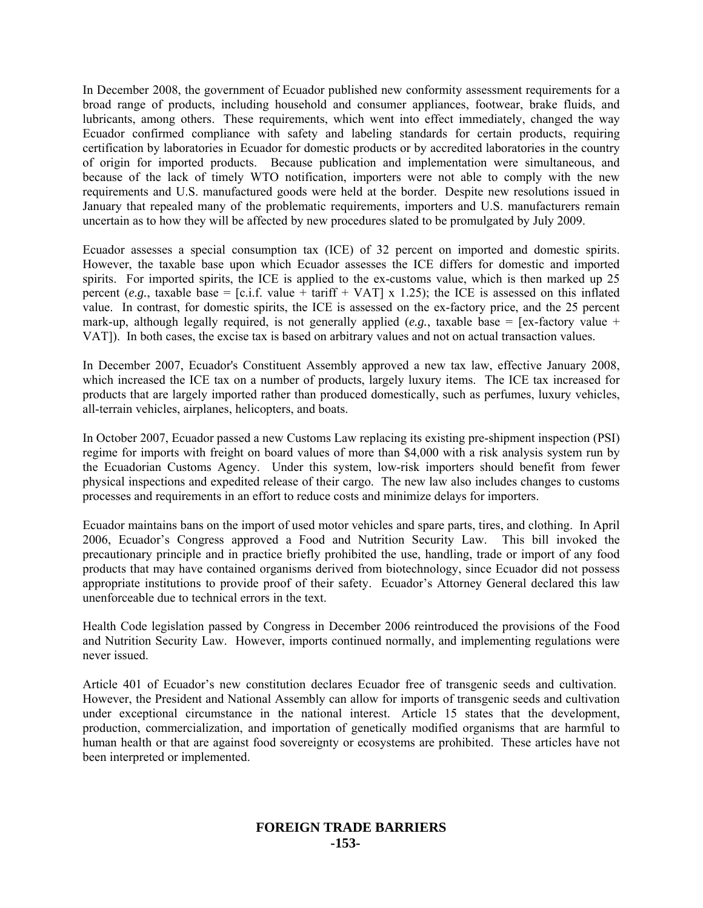In December 2008, the government of Ecuador published new conformity assessment requirements for a broad range of products, including household and consumer appliances, footwear, brake fluids, and lubricants, among others. These requirements, which went into effect immediately, changed the way Ecuador confirmed compliance with safety and labeling standards for certain products, requiring certification by laboratories in Ecuador for domestic products or by accredited laboratories in the country of origin for imported products. Because publication and implementation were simultaneous, and because of the lack of timely WTO notification, importers were not able to comply with the new requirements and U.S. manufactured goods were held at the border. Despite new resolutions issued in January that repealed many of the problematic requirements, importers and U.S. manufacturers remain uncertain as to how they will be affected by new procedures slated to be promulgated by July 2009.

Ecuador assesses a special consumption tax (ICE) of 32 percent on imported and domestic spirits. However, the taxable base upon which Ecuador assesses the ICE differs for domestic and imported spirits. For imported spirits, the ICE is applied to the ex-customs value, which is then marked up 25 percent (*e.g.*, taxable base = [c.i.f. value + tariff + VAT] x 1.25); the ICE is assessed on this inflated value. In contrast, for domestic spirits, the ICE is assessed on the ex-factory price, and the 25 percent mark-up, although legally required, is not generally applied  $(e.g.,$  taxable base = [ex-factory value + VAT]). In both cases, the excise tax is based on arbitrary values and not on actual transaction values.

In December 2007, Ecuador's Constituent Assembly approved a new tax law, effective January 2008, which increased the ICE tax on a number of products, largely luxury items. The ICE tax increased for products that are largely imported rather than produced domestically, such as perfumes, luxury vehicles, all-terrain vehicles, airplanes, helicopters, and boats.

In October 2007, Ecuador passed a new Customs Law replacing its existing pre-shipment inspection (PSI) regime for imports with freight on board values of more than \$4,000 with a risk analysis system run by the Ecuadorian Customs Agency. Under this system, low-risk importers should benefit from fewer physical inspections and expedited release of their cargo. The new law also includes changes to customs processes and requirements in an effort to reduce costs and minimize delays for importers.

Ecuador maintains bans on the import of used motor vehicles and spare parts, tires, and clothing. In April 2006, Ecuador's Congress approved a Food and Nutrition Security Law. This bill invoked the precautionary principle and in practice briefly prohibited the use, handling, trade or import of any food products that may have contained organisms derived from biotechnology, since Ecuador did not possess appropriate institutions to provide proof of their safety. Ecuador's Attorney General declared this law unenforceable due to technical errors in the text.

Health Code legislation passed by Congress in December 2006 reintroduced the provisions of the Food and Nutrition Security Law. However, imports continued normally, and implementing regulations were never issued.

Article 401 of Ecuador's new constitution declares Ecuador free of transgenic seeds and cultivation. However, the President and National Assembly can allow for imports of transgenic seeds and cultivation under exceptional circumstance in the national interest. Article 15 states that the development, production, commercialization, and importation of genetically modified organisms that are harmful to human health or that are against food sovereignty or ecosystems are prohibited. These articles have not been interpreted or implemented.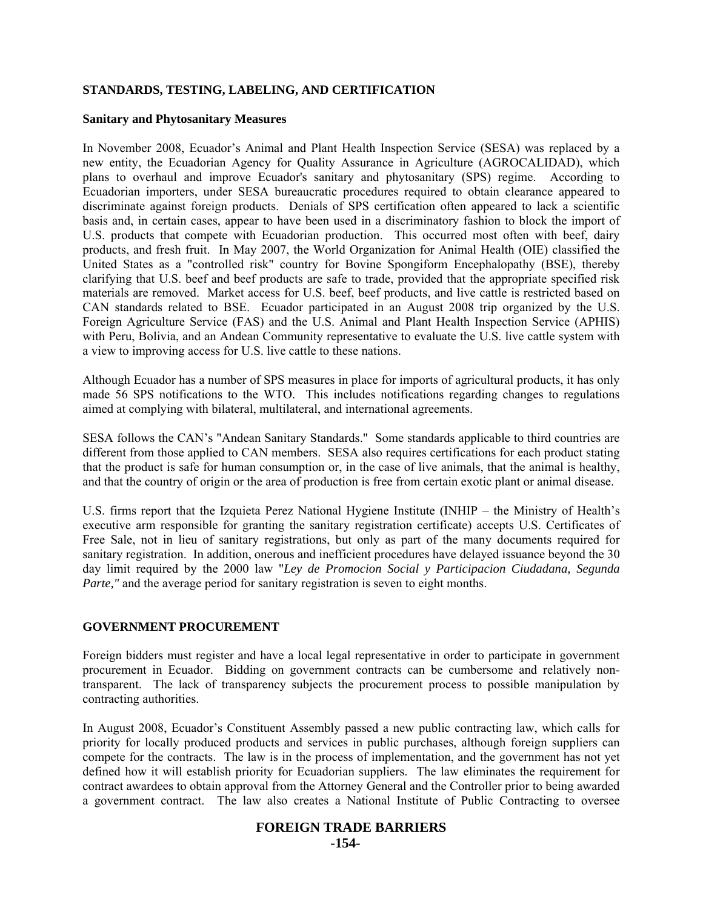## **STANDARDS, TESTING, LABELING, AND CERTIFICATION**

#### **Sanitary and Phytosanitary Measures**

In November 2008, Ecuador's Animal and Plant Health Inspection Service (SESA) was replaced by a new entity, the Ecuadorian Agency for Quality Assurance in Agriculture (AGROCALIDAD), which plans to overhaul and improve Ecuador's sanitary and phytosanitary (SPS) regime. According to Ecuadorian importers, under SESA bureaucratic procedures required to obtain clearance appeared to discriminate against foreign products. Denials of SPS certification often appeared to lack a scientific basis and, in certain cases, appear to have been used in a discriminatory fashion to block the import of U.S. products that compete with Ecuadorian production. This occurred most often with beef, dairy products, and fresh fruit. In May 2007, the World Organization for Animal Health (OIE) classified the United States as a "controlled risk" country for Bovine Spongiform Encephalopathy (BSE), thereby clarifying that U.S. beef and beef products are safe to trade, provided that the appropriate specified risk materials are removed. Market access for U.S. beef, beef products, and live cattle is restricted based on CAN standards related to BSE. Ecuador participated in an August 2008 trip organized by the U.S. Foreign Agriculture Service (FAS) and the U.S. Animal and Plant Health Inspection Service (APHIS) with Peru, Bolivia, and an Andean Community representative to evaluate the U.S. live cattle system with a view to improving access for U.S. live cattle to these nations.

Although Ecuador has a number of SPS measures in place for imports of agricultural products, it has only made 56 SPS notifications to the WTO. This includes notifications regarding changes to regulations aimed at complying with bilateral, multilateral, and international agreements.

SESA follows the CAN's "Andean Sanitary Standards." Some standards applicable to third countries are different from those applied to CAN members. SESA also requires certifications for each product stating that the product is safe for human consumption or, in the case of live animals, that the animal is healthy, and that the country of origin or the area of production is free from certain exotic plant or animal disease.

U.S. firms report that the Izquieta Perez National Hygiene Institute (INHIP – the Ministry of Health's executive arm responsible for granting the sanitary registration certificate) accepts U.S. Certificates of Free Sale, not in lieu of sanitary registrations, but only as part of the many documents required for sanitary registration. In addition, onerous and inefficient procedures have delayed issuance beyond the 30 day limit required by the 2000 law "*Ley de Promocion Social y Participacion Ciudadana, Segunda Parte,"* and the average period for sanitary registration is seven to eight months.

#### **GOVERNMENT PROCUREMENT**

Foreign bidders must register and have a local legal representative in order to participate in government procurement in Ecuador. Bidding on government contracts can be cumbersome and relatively nontransparent. The lack of transparency subjects the procurement process to possible manipulation by contracting authorities.

In August 2008, Ecuador's Constituent Assembly passed a new public contracting law, which calls for priority for locally produced products and services in public purchases, although foreign suppliers can compete for the contracts. The law is in the process of implementation, and the government has not yet defined how it will establish priority for Ecuadorian suppliers. The law eliminates the requirement for contract awardees to obtain approval from the Attorney General and the Controller prior to being awarded a government contract. The law also creates a National Institute of Public Contracting to oversee

#### **FOREIGN TRADE BARRIERS -154-**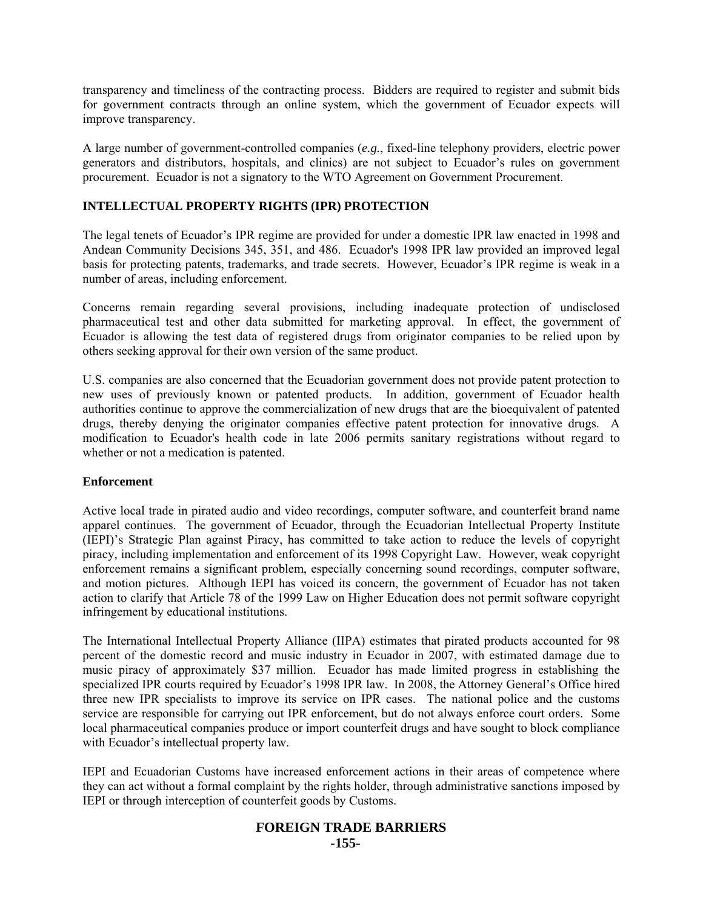transparency and timeliness of the contracting process. Bidders are required to register and submit bids for government contracts through an online system, which the government of Ecuador expects will improve transparency.

A large number of government-controlled companies (*e.g.*, fixed-line telephony providers, electric power generators and distributors, hospitals, and clinics) are not subject to Ecuador's rules on government procurement. Ecuador is not a signatory to the WTO Agreement on Government Procurement.

## **INTELLECTUAL PROPERTY RIGHTS (IPR) PROTECTION**

The legal tenets of Ecuador's IPR regime are provided for under a domestic IPR law enacted in 1998 and Andean Community Decisions 345, 351, and 486. Ecuador's 1998 IPR law provided an improved legal basis for protecting patents, trademarks, and trade secrets. However, Ecuador's IPR regime is weak in a number of areas, including enforcement.

Concerns remain regarding several provisions, including inadequate protection of undisclosed pharmaceutical test and other data submitted for marketing approval. In effect, the government of Ecuador is allowing the test data of registered drugs from originator companies to be relied upon by others seeking approval for their own version of the same product.

U.S. companies are also concerned that the Ecuadorian government does not provide patent protection to new uses of previously known or patented products. In addition, government of Ecuador health authorities continue to approve the commercialization of new drugs that are the bioequivalent of patented drugs, thereby denying the originator companies effective patent protection for innovative drugs. A modification to Ecuador's health code in late 2006 permits sanitary registrations without regard to whether or not a medication is patented.

## **Enforcement**

Active local trade in pirated audio and video recordings, computer software, and counterfeit brand name apparel continues. The government of Ecuador, through the Ecuadorian Intellectual Property Institute (IEPI)'s Strategic Plan against Piracy, has committed to take action to reduce the levels of copyright piracy, including implementation and enforcement of its 1998 Copyright Law. However, weak copyright enforcement remains a significant problem, especially concerning sound recordings, computer software, and motion pictures. Although IEPI has voiced its concern, the government of Ecuador has not taken action to clarify that Article 78 of the 1999 Law on Higher Education does not permit software copyright infringement by educational institutions.

The International Intellectual Property Alliance (IIPA) estimates that pirated products accounted for 98 percent of the domestic record and music industry in Ecuador in 2007, with estimated damage due to music piracy of approximately \$37 million. Ecuador has made limited progress in establishing the specialized IPR courts required by Ecuador's 1998 IPR law. In 2008, the Attorney General's Office hired three new IPR specialists to improve its service on IPR cases. The national police and the customs service are responsible for carrying out IPR enforcement, but do not always enforce court orders. Some local pharmaceutical companies produce or import counterfeit drugs and have sought to block compliance with Ecuador's intellectual property law.

IEPI and Ecuadorian Customs have increased enforcement actions in their areas of competence where they can act without a formal complaint by the rights holder, through administrative sanctions imposed by IEPI or through interception of counterfeit goods by Customs.

#### **FOREIGN TRADE BARRIERS -155-**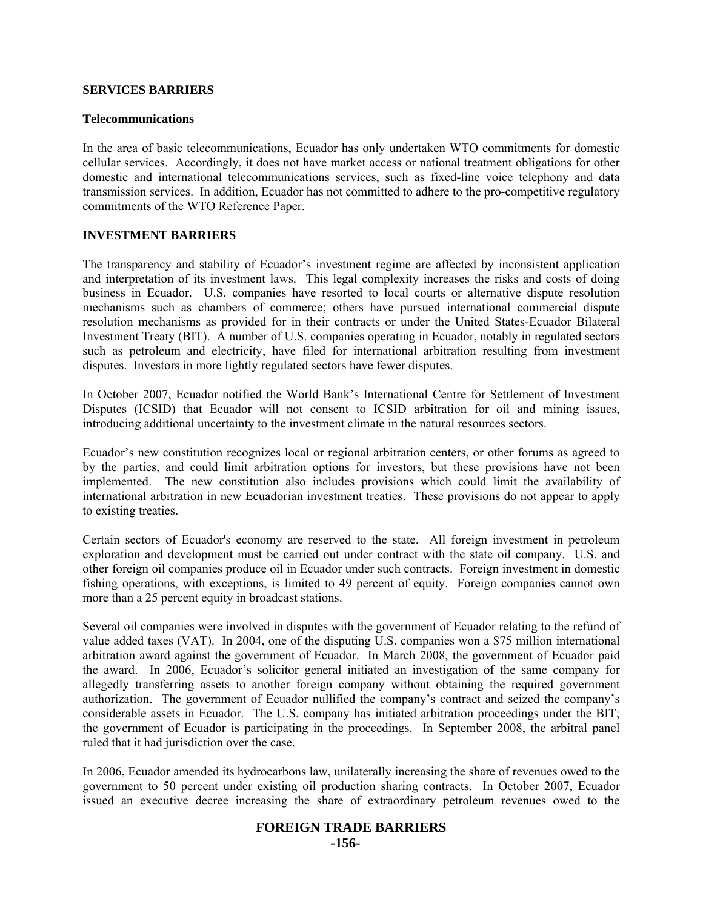#### **SERVICES BARRIERS**

#### **Telecommunications**

In the area of basic telecommunications, Ecuador has only undertaken WTO commitments for domestic cellular services. Accordingly, it does not have market access or national treatment obligations for other domestic and international telecommunications services, such as fixed-line voice telephony and data transmission services. In addition, Ecuador has not committed to adhere to the pro-competitive regulatory commitments of the WTO Reference Paper.

#### **INVESTMENT BARRIERS**

The transparency and stability of Ecuador's investment regime are affected by inconsistent application and interpretation of its investment laws. This legal complexity increases the risks and costs of doing business in Ecuador. U.S. companies have resorted to local courts or alternative dispute resolution mechanisms such as chambers of commerce; others have pursued international commercial dispute resolution mechanisms as provided for in their contracts or under the United States-Ecuador Bilateral Investment Treaty (BIT). A number of U.S. companies operating in Ecuador, notably in regulated sectors such as petroleum and electricity, have filed for international arbitration resulting from investment disputes. Investors in more lightly regulated sectors have fewer disputes.

In October 2007, Ecuador notified the World Bank's International Centre for Settlement of Investment Disputes (ICSID) that Ecuador will not consent to ICSID arbitration for oil and mining issues, introducing additional uncertainty to the investment climate in the natural resources sectors.

Ecuador's new constitution recognizes local or regional arbitration centers, or other forums as agreed to by the parties, and could limit arbitration options for investors, but these provisions have not been implemented. The new constitution also includes provisions which could limit the availability of international arbitration in new Ecuadorian investment treaties. These provisions do not appear to apply to existing treaties.

Certain sectors of Ecuador's economy are reserved to the state. All foreign investment in petroleum exploration and development must be carried out under contract with the state oil company. U.S. and other foreign oil companies produce oil in Ecuador under such contracts. Foreign investment in domestic fishing operations, with exceptions, is limited to 49 percent of equity. Foreign companies cannot own more than a 25 percent equity in broadcast stations.

Several oil companies were involved in disputes with the government of Ecuador relating to the refund of value added taxes (VAT). In 2004, one of the disputing U.S. companies won a \$75 million international arbitration award against the government of Ecuador. In March 2008, the government of Ecuador paid the award. In 2006, Ecuador's solicitor general initiated an investigation of the same company for allegedly transferring assets to another foreign company without obtaining the required government authorization. The government of Ecuador nullified the company's contract and seized the company's considerable assets in Ecuador. The U.S. company has initiated arbitration proceedings under the BIT; the government of Ecuador is participating in the proceedings. In September 2008, the arbitral panel ruled that it had jurisdiction over the case.

In 2006, Ecuador amended its hydrocarbons law, unilaterally increasing the share of revenues owed to the government to 50 percent under existing oil production sharing contracts. In October 2007, Ecuador issued an executive decree increasing the share of extraordinary petroleum revenues owed to the

# **FOREIGN TRADE BARRIERS**